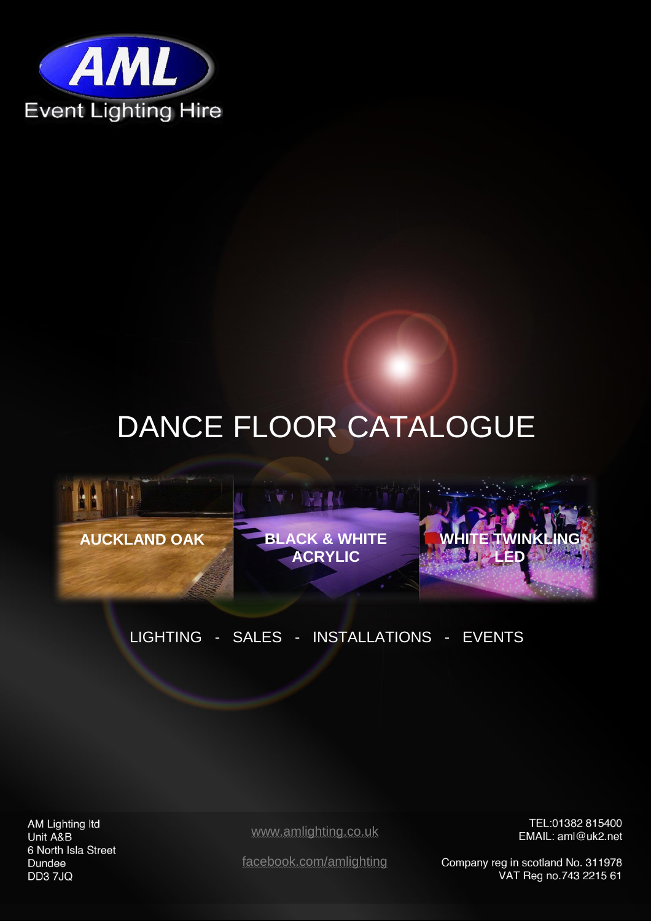

# DANCE FLOOR CATALOGUE



### LIGHTING - SALES - INSTALLATIONS - EVENTS

AM Lighting Itd Unit A&B 6 North Isla Street Dundee DD3 7JQ

[www.amlighting.co.uk](http://www.amlighting.co.uk/)

<span id="page-0-0"></span>TEL:01382 815400 EMAIL: aml@uk2.net

[facebook.com/amlighting](https://www.facebook.com/amlighting?fref=ts)

Company reg in scotland No. 311978 VAT Reg no.743 2215 61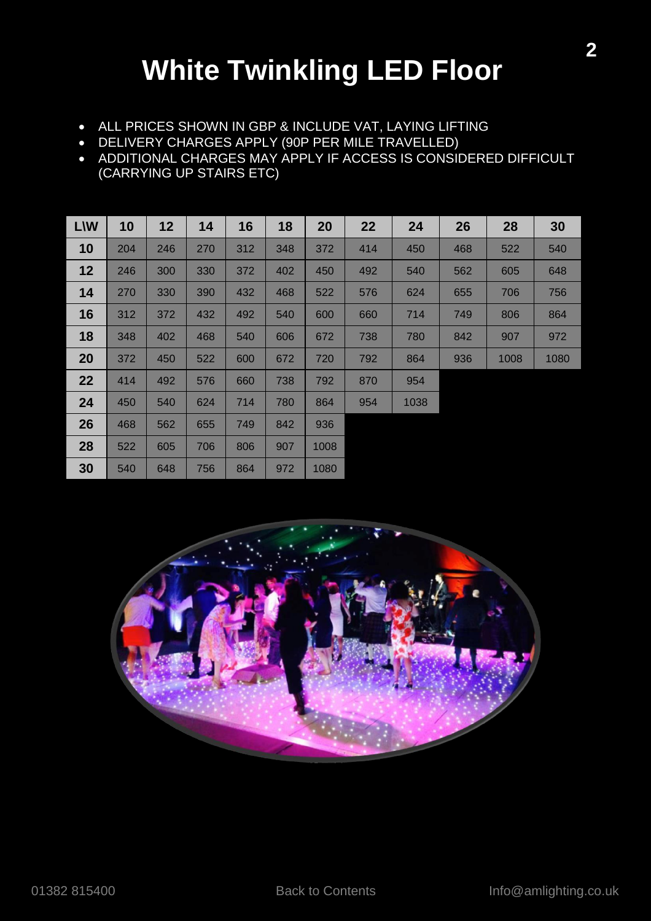## **White Twinkling LED Floor**

- ALL PRICES SHOWN IN GBP & INCLUDE VAT, LAYING LIFTING
- DELIVERY CHARGES APPLY (90P PER MILE TRAVELLED)
- ADDITIONAL CHARGES MAY APPLY IF ACCESS IS CONSIDERED DIFFICULT (CARRYING UP STAIRS ETC)

<span id="page-1-0"></span>

| <b>L\W</b> | 10  | 12  | 14  | 16  | 18  | 20   | 22  | 24   | 26  | 28   | 30   |
|------------|-----|-----|-----|-----|-----|------|-----|------|-----|------|------|
| 10         | 204 | 246 | 270 | 312 | 348 | 372  | 414 | 450  | 468 | 522  | 540  |
| 12         | 246 | 300 | 330 | 372 | 402 | 450  | 492 | 540  | 562 | 605  | 648  |
| 14         | 270 | 330 | 390 | 432 | 468 | 522  | 576 | 624  | 655 | 706  | 756  |
| 16         | 312 | 372 | 432 | 492 | 540 | 600  | 660 | 714  | 749 | 806  | 864  |
| 18         | 348 | 402 | 468 | 540 | 606 | 672  | 738 | 780  | 842 | 907  | 972  |
| 20         | 372 | 450 | 522 | 600 | 672 | 720  | 792 | 864  | 936 | 1008 | 1080 |
| 22         | 414 | 492 | 576 | 660 | 738 | 792  | 870 | 954  |     |      |      |
| 24         | 450 | 540 | 624 | 714 | 780 | 864  | 954 | 1038 |     |      |      |
| 26         | 468 | 562 | 655 | 749 | 842 | 936  |     |      |     |      |      |
| 28         | 522 | 605 | 706 | 806 | 907 | 1008 |     |      |     |      |      |
| 30         | 540 | 648 | 756 | 864 | 972 | 1080 |     |      |     |      |      |

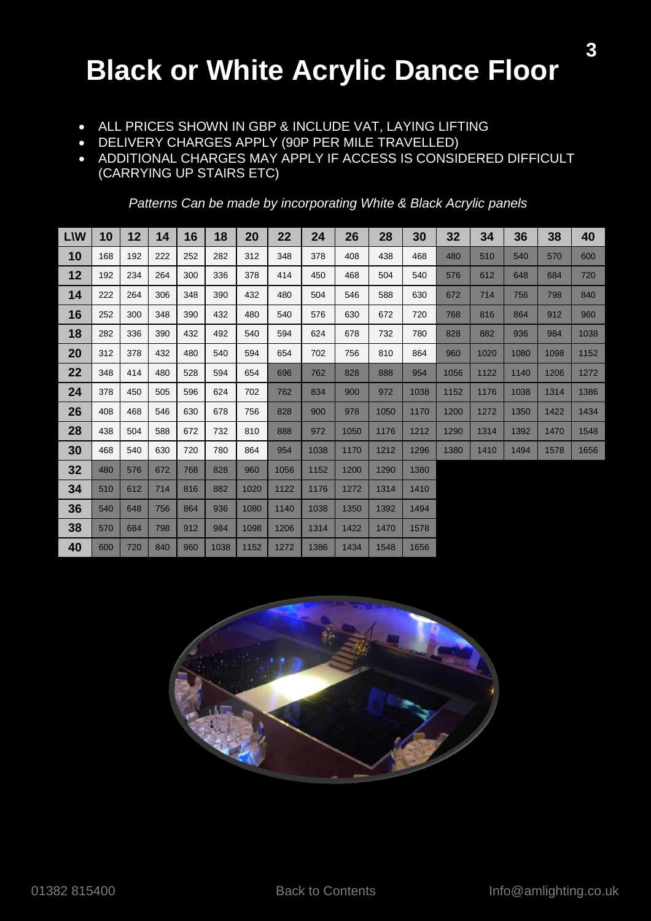### <span id="page-2-0"></span>**Black or White Acrylic Dance Floor**

- ALL PRICES SHOWN IN GBP & INCLUDE VAT, LAYING LIFTING
- DELIVERY CHARGES APPLY (90P PER MILE TRAVELLED)
- ADDITIONAL CHARGES MAY APPLY IF ACCESS IS CONSIDERED DIFFICULT (CARRYING UP STAIRS ETC)

| <b>L\W</b> | 10  | 12  | 14  | 16  | 18   | 20   | 22   | 24   | 26   | 28   | 30   | 32   | 34   | 36   | 38   | 40   |
|------------|-----|-----|-----|-----|------|------|------|------|------|------|------|------|------|------|------|------|
| 10         | 168 | 192 | 222 | 252 | 282  | 312  | 348  | 378  | 408  | 438  | 468  | 480  | 510  | 540  | 570  | 600  |
| 12         | 192 | 234 | 264 | 300 | 336  | 378  | 414  | 450  | 468  | 504  | 540  | 576  | 612  | 648  | 684  | 720  |
| 14         | 222 | 264 | 306 | 348 | 390  | 432  | 480  | 504  | 546  | 588  | 630  | 672  | 714  | 756  | 798  | 840  |
| 16         | 252 | 300 | 348 | 390 | 432  | 480  | 540  | 576  | 630  | 672  | 720  | 768  | 816  | 864  | 912  | 960  |
| 18         | 282 | 336 | 390 | 432 | 492  | 540  | 594  | 624  | 678  | 732  | 780  | 828  | 882  | 936  | 984  | 1038 |
| 20         | 312 | 378 | 432 | 480 | 540  | 594  | 654  | 702  | 756  | 810  | 864  | 960  | 1020 | 1080 | 1098 | 1152 |
| 22         | 348 | 414 | 480 | 528 | 594  | 654  | 696  | 762  | 828  | 888  | 954  | 1056 | 1122 | 1140 | 1206 | 1272 |
| 24         | 378 | 450 | 505 | 596 | 624  | 702  | 762  | 834  | 900  | 972  | 1038 | 1152 | 1176 | 1038 | 1314 | 1386 |
| 26         | 408 | 468 | 546 | 630 | 678  | 756  | 828  | 900  | 978  | 1050 | 1170 | 1200 | 1272 | 1350 | 1422 | 1434 |
| 28         | 438 | 504 | 588 | 672 | 732  | 810  | 888  | 972  | 1050 | 1176 | 1212 | 1290 | 1314 | 1392 | 1470 | 1548 |
| 30         | 468 | 540 | 630 | 720 | 780  | 864  | 954  | 1038 | 1170 | 1212 | 1296 | 1380 | 1410 | 1494 | 1578 | 1656 |
| 32         | 480 | 576 | 672 | 768 | 828  | 960  | 1056 | 1152 | 1200 | 1290 | 1380 |      |      |      |      |      |
| 34         | 510 | 612 | 714 | 816 | 882  | 1020 | 1122 | 1176 | 1272 | 1314 | 1410 |      |      |      |      |      |
| 36         | 540 | 648 | 756 | 864 | 936  | 1080 | 1140 | 1038 | 1350 | 1392 | 1494 |      |      |      |      |      |
| 38         | 570 | 684 | 798 | 912 | 984  | 1098 | 1206 | 1314 | 1422 | 1470 | 1578 |      |      |      |      |      |
| 40         | 600 | 720 | 840 | 960 | 1038 | 1152 | 1272 | 1386 | 1434 | 1548 | 1656 |      |      |      |      |      |

*Patterns Can be made by incorporating White & Black Acrylic panels*

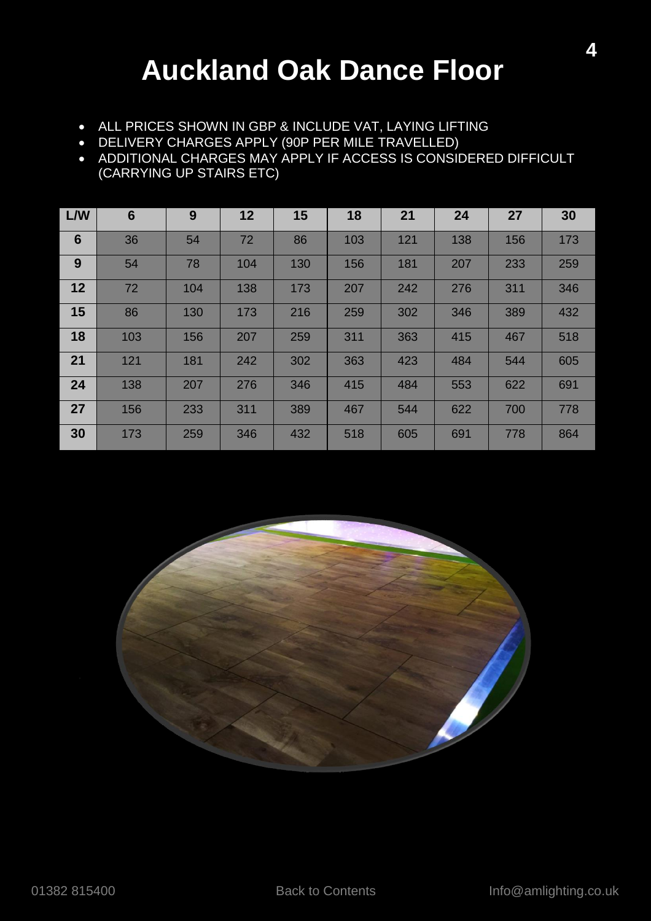### **Auckland Oak Dance Floor**

- <span id="page-3-0"></span>ALL PRICES SHOWN IN GBP & INCLUDE VAT, LAYING LIFTING
- DELIVERY CHARGES APPLY (90P PER MILE TRAVELLED)
- ADDITIONAL CHARGES MAY APPLY IF ACCESS IS CONSIDERED DIFFICULT (CARRYING UP STAIRS ETC)

| L/W             | $6\phantom{1}6$ | 9   | 12  | 15  | 18  | 21  | 24  | 27  | 30  |
|-----------------|-----------------|-----|-----|-----|-----|-----|-----|-----|-----|
| $6\phantom{1}6$ | 36              | 54  | 72  | 86  | 103 | 121 | 138 | 156 | 173 |
| 9               | 54              | 78  | 104 | 130 | 156 | 181 | 207 | 233 | 259 |
| 12              | 72              | 104 | 138 | 173 | 207 | 242 | 276 | 311 | 346 |
| 15              | 86              | 130 | 173 | 216 | 259 | 302 | 346 | 389 | 432 |
| 18              | 103             | 156 | 207 | 259 | 311 | 363 | 415 | 467 | 518 |
| 21              | 121             | 181 | 242 | 302 | 363 | 423 | 484 | 544 | 605 |
| 24              | 138             | 207 | 276 | 346 | 415 | 484 | 553 | 622 | 691 |
| 27              | 156             | 233 | 311 | 389 | 467 | 544 | 622 | 700 | 778 |
| 30              | 173             | 259 | 346 | 432 | 518 | 605 | 691 | 778 | 864 |

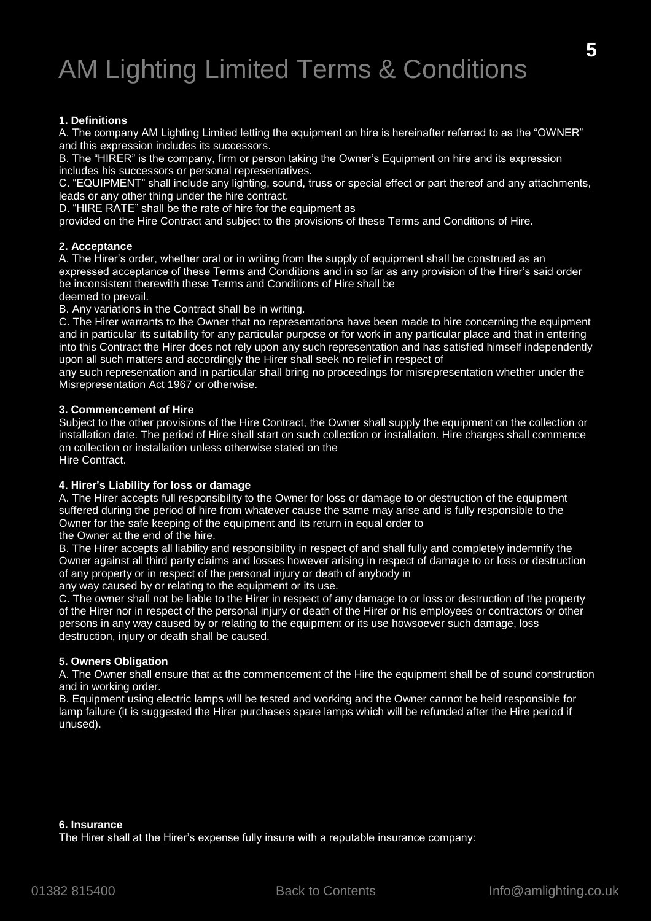## AM Lighting Limited Terms & Conditions

#### **1. Definitions**

A. The company AM Lighting Limited letting the equipment on hire is hereinafter referred to as the "OWNER" and this expression includes its successors.

B. The "HIRER" is the company, firm or person taking the Owner's Equipment on hire and its expression includes his successors or personal representatives.

C. "EQUIPMENT" shall include any lighting, sound, truss or special effect or part thereof and any attachments, leads or any other thing under the hire contract.

D. "HIRE RATE" shall be the rate of hire for the equipment as

provided on the Hire Contract and subject to the provisions of these Terms and Conditions of Hire.

#### **2. Acceptance**

A. The Hirer's order, whether oral or in writing from the supply of equipment shall be construed as an expressed acceptance of these Terms and Conditions and in so far as any provision of the Hirer's said order be inconsistent therewith these Terms and Conditions of Hire shall be deemed to prevail.

B. Any variations in the Contract shall be in writing.

C. The Hirer warrants to the Owner that no representations have been made to hire concerning the equipment and in particular its suitability for any particular purpose or for work in any particular place and that in entering into this Contract the Hirer does not rely upon any such representation and has satisfied himself independently upon all such matters and accordingly the Hirer shall seek no relief in respect of

any such representation and in particular shall bring no proceedings for misrepresentation whether under the Misrepresentation Act 1967 or otherwise.

#### **3. Commencement of Hire**

Subject to the other provisions of the Hire Contract, the Owner shall supply the equipment on the collection or installation date. The period of Hire shall start on such collection or installation. Hire charges shall commence on collection or installation unless otherwise stated on the Hire Contract.

#### **4. Hirer's Liability for loss or damage**

A. The Hirer accepts full responsibility to the Owner for loss or damage to or destruction of the equipment suffered during the period of hire from whatever cause the same may arise and is fully responsible to the Owner for the safe keeping of the equipment and its return in equal order to

the Owner at the end of the hire.

B. The Hirer accepts all liability and responsibility in respect of and shall fully and completely indemnify the Owner against all third party claims and losses however arising in respect of damage to or loss or destruction of any property or in respect of the personal injury or death of anybody in

any way caused by or relating to the equipment or its use.

C. The owner shall not be liable to the Hirer in respect of any damage to or loss or destruction of the property of the Hirer nor in respect of the personal injury or death of the Hirer or his employees or contractors or other persons in any way caused by or relating to the equipment or its use howsoever such damage, loss destruction, injury or death shall be caused.

#### **5. Owners Obligation**

A. The Owner shall ensure that at the commencement of the Hire the equipment shall be of sound construction and in working order.

B. Equipment using electric lamps will be tested and working and the Owner cannot be held responsible for lamp failure (it is suggested the Hirer purchases spare lamps which will be refunded after the Hire period if unused).